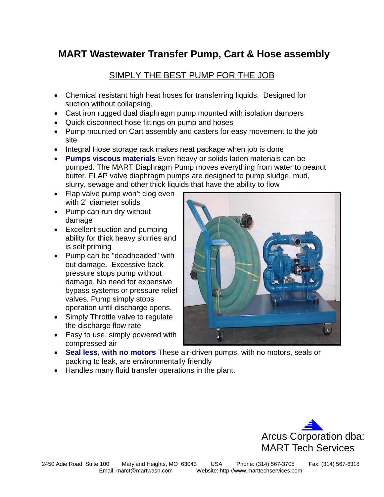# **MART Wastewater Transfer Pump, Cart & Hose assembly**

### SIMPLY THE BEST PUMP FOR THE JOB

- Chemical resistant high heat hoses for transferring liquids. Designed for suction without collapsing.
- Cast iron rugged dual diaphragm pump mounted with isolation dampers
- Quick disconnect hose fittings on pump and hoses
- Pump mounted on Cart assembly and casters for easy movement to the job site
- Integral Hose storage rack makes neat package when job is done
- **Pumps viscous materials** Even heavy or solids-laden materials can be pumped. The MART Diaphragm Pump moves everything from water to peanut butter. FLAP valve diaphragm pumps are designed to pump sludge, mud, slurry, sewage and other thick liquids that have the ability to flow
- Flap valve pump won't clog even with 2" diameter solids
- Pump can run dry without damage
- Excellent suction and pumping ability for thick heavy slurries and is self priming
- Pump can be "deadheaded" with out damage. Excessive back pressure stops pump without damage. No need for expensive bypass systems or pressure relief valves. Pump simply stops operation until discharge opens.
- Simply Throttle valve to regulate the discharge flow rate
- Easy to use, simply powered with compressed air



- **Seal less, with no motors** These air-driven pumps, with no motors, seals or packing to leak, are environmentally friendly
- Handles many fluid transfer operations in the plant.

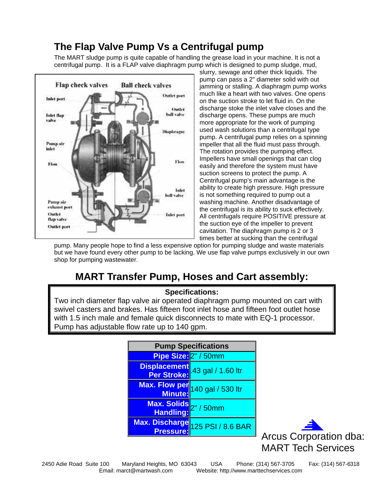# **The Flap Valve Pump Vs a Centrifugal pump**

The MART sludge pump is quite capable of handling the grease load in your machine. It is not a centrifugal pump. It is a FLAP valve diaphragm pump which is designed to pump sludge, mud,



slurry, sewage and other thick liquids. The pump can pass a 2" diameter solid with out jamming or stalling. A diaphragm pump works much like a heart with two valves. One opens on the suction stroke to let fluid in. On the discharge stoke the inlet valve closes and the discharge opens. These pumps are much more appropriate for the work of pumping used wash solutions than a centrifugal type pump. A centrifugal pump relies on a spinning impeller that all the fluid must pass through. The rotation provides the pumping effect. Impellers have small openings that can clog easily and therefore the system must have suction screens to protect the pump. A Centrifugal pump's main advantage is the ability to create high pressure. High pressure is not something required to pump out a washing machine. Another disadvantage of the centrifugal is its ability to suck effectively. All centrifugals require POSITIVE pressure at the suction eye of the impeller to prevent cavitation. The diaphragm pump is 2 or 3 times better at sucking than the centrifugal

pump. Many people hope to find a less expensive option for pumping sludge and waste materials but we have found every other pump to be lacking. We use flap valve pumps exclusively in our own shop for pumping wastewater.

# **MART Transfer Pump, Hoses and Cart assembly:**

### **Specifications:**

Two inch diameter flap valve air operated diaphragm pump mounted on cart with swivel casters and brakes. Has fifteen foot inlet hose and fifteen foot outlet hose with 1.5 inch male and female quick disconnects to mate with EQ-1 processor. Pump has adjustable flow rate up to 140 gpm.

| <b>Pump Specifications</b> |                                               |
|----------------------------|-----------------------------------------------|
| Pipe Size: 2" / 50mm       |                                               |
|                            | Displacement<br>Per Stroke: 43 gal / 1.60 ltr |
|                            | Max. Flow per 140 gal / 530 ltr               |
| Max. Solids 2" / 50mm      |                                               |
| <b>Pressure:</b>           | Max. Discharge 125 PSI / 8.6 BAR              |